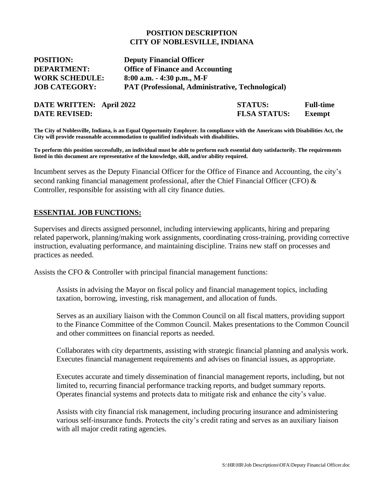#### **POSITION DESCRIPTION CITY OF NOBLESVILLE, INDIANA**

| <b>POSITION:</b>      | <b>Deputy Financial Officer</b>                          |
|-----------------------|----------------------------------------------------------|
| <b>DEPARTMENT:</b>    | <b>Office of Finance and Accounting</b>                  |
| <b>WORK SCHEDULE:</b> | $8:00$ a.m. $-4:30$ p.m., M-F                            |
| <b>JOB CATEGORY:</b>  | <b>PAT (Professional, Administrative, Technological)</b> |

| DATE WRITTEN: April 2022 | <b>STATUS:</b>      | <b>Full-time</b> |
|--------------------------|---------------------|------------------|
| <b>DATE REVISED:</b>     | <b>FLSA STATUS:</b> | <b>Exempt</b>    |

**The City of Noblesville, Indiana, is an Equal Opportunity Employer. In compliance with the Americans with Disabilities Act, the City will provide reasonable accommodation to qualified individuals with disabilities.**

**To perform this position successfully, an individual must be able to perform each essential duty satisfactorily. The requirements listed in this document are representative of the knowledge, skill, and/or ability required.** 

Incumbent serves as the Deputy Financial Officer for the Office of Finance and Accounting, the city's second ranking financial management professional, after the Chief Financial Officer (CFO) & Controller, responsible for assisting with all city finance duties.

#### **ESSENTIAL JOB FUNCTIONS:**

Supervises and directs assigned personnel, including interviewing applicants, hiring and preparing related paperwork, planning/making work assignments, coordinating cross-training, providing corrective instruction, evaluating performance, and maintaining discipline. Trains new staff on processes and practices as needed.

Assists the CFO & Controller with principal financial management functions:

Assists in advising the Mayor on fiscal policy and financial management topics, including taxation, borrowing, investing, risk management, and allocation of funds.

Serves as an auxiliary liaison with the Common Council on all fiscal matters, providing support to the Finance Committee of the Common Council. Makes presentations to the Common Council and other committees on financial reports as needed.

Collaborates with city departments, assisting with strategic financial planning and analysis work. Executes financial management requirements and advises on financial issues, as appropriate.

Executes accurate and timely dissemination of financial management reports, including, but not limited to, recurring financial performance tracking reports, and budget summary reports. Operates financial systems and protects data to mitigate risk and enhance the city's value.

Assists with city financial risk management, including procuring insurance and administering various self-insurance funds. Protects the city's credit rating and serves as an auxiliary liaison with all major credit rating agencies.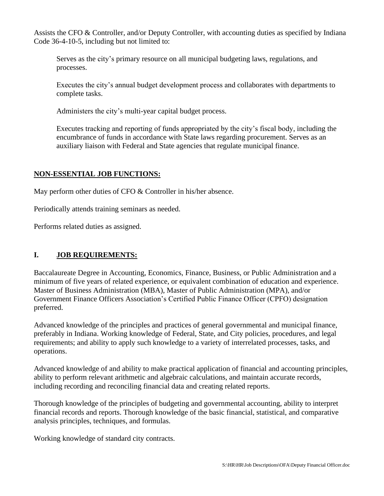Assists the CFO & Controller, and/or Deputy Controller, with accounting duties as specified by Indiana Code 36-4-10-5, including but not limited to:

Serves as the city's primary resource on all municipal budgeting laws, regulations, and processes.

Executes the city's annual budget development process and collaborates with departments to complete tasks.

Administers the city's multi-year capital budget process.

Executes tracking and reporting of funds appropriated by the city's fiscal body, including the encumbrance of funds in accordance with State laws regarding procurement. Serves as an auxiliary liaison with Federal and State agencies that regulate municipal finance.

## **NON-ESSENTIAL JOB FUNCTIONS:**

May perform other duties of CFO & Controller in his/her absence.

Periodically attends training seminars as needed.

Performs related duties as assigned.

# **I. JOB REQUIREMENTS:**

Baccalaureate Degree in Accounting, Economics, Finance, Business, or Public Administration and a minimum of five years of related experience, or equivalent combination of education and experience. Master of Business Administration (MBA), Master of Public Administration (MPA), and/or Government Finance Officers Association's Certified Public Finance Officer (CPFO) designation preferred.

Advanced knowledge of the principles and practices of general governmental and municipal finance, preferably in Indiana. Working knowledge of Federal, State, and City policies, procedures, and legal requirements; and ability to apply such knowledge to a variety of interrelated processes, tasks, and operations.

Advanced knowledge of and ability to make practical application of financial and accounting principles, ability to perform relevant arithmetic and algebraic calculations, and maintain accurate records, including recording and reconciling financial data and creating related reports.

Thorough knowledge of the principles of budgeting and governmental accounting, ability to interpret financial records and reports. Thorough knowledge of the basic financial, statistical, and comparative analysis principles, techniques, and formulas.

Working knowledge of standard city contracts.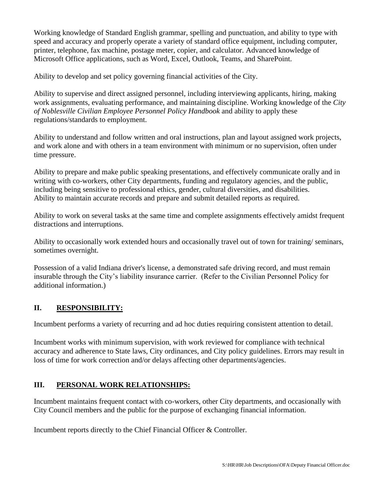Working knowledge of Standard English grammar, spelling and punctuation, and ability to type with speed and accuracy and properly operate a variety of standard office equipment, including computer, printer, telephone, fax machine, postage meter, copier, and calculator. Advanced knowledge of Microsoft Office applications, such as Word, Excel, Outlook, Teams, and SharePoint.

Ability to develop and set policy governing financial activities of the City.

Ability to supervise and direct assigned personnel, including interviewing applicants, hiring, making work assignments, evaluating performance, and maintaining discipline. Working knowledge of the *City of Noblesville Civilian Employee Personnel Policy Handbook* and ability to apply these regulations/standards to employment.

Ability to understand and follow written and oral instructions, plan and layout assigned work projects, and work alone and with others in a team environment with minimum or no supervision, often under time pressure.

Ability to prepare and make public speaking presentations, and effectively communicate orally and in writing with co-workers, other City departments, funding and regulatory agencies, and the public, including being sensitive to professional ethics, gender, cultural diversities, and disabilities. Ability to maintain accurate records and prepare and submit detailed reports as required.

Ability to work on several tasks at the same time and complete assignments effectively amidst frequent distractions and interruptions.

Ability to occasionally work extended hours and occasionally travel out of town for training/ seminars, sometimes overnight.

Possession of a valid Indiana driver's license, a demonstrated safe driving record, and must remain insurable through the City's liability insurance carrier. (Refer to the Civilian Personnel Policy for additional information.)

## **II. RESPONSIBILITY:**

Incumbent performs a variety of recurring and ad hoc duties requiring consistent attention to detail.

Incumbent works with minimum supervision, with work reviewed for compliance with technical accuracy and adherence to State laws, City ordinances, and City policy guidelines. Errors may result in loss of time for work correction and/or delays affecting other departments/agencies.

# **III. PERSONAL WORK RELATIONSHIPS:**

Incumbent maintains frequent contact with co-workers, other City departments, and occasionally with City Council members and the public for the purpose of exchanging financial information.

Incumbent reports directly to the Chief Financial Officer & Controller.